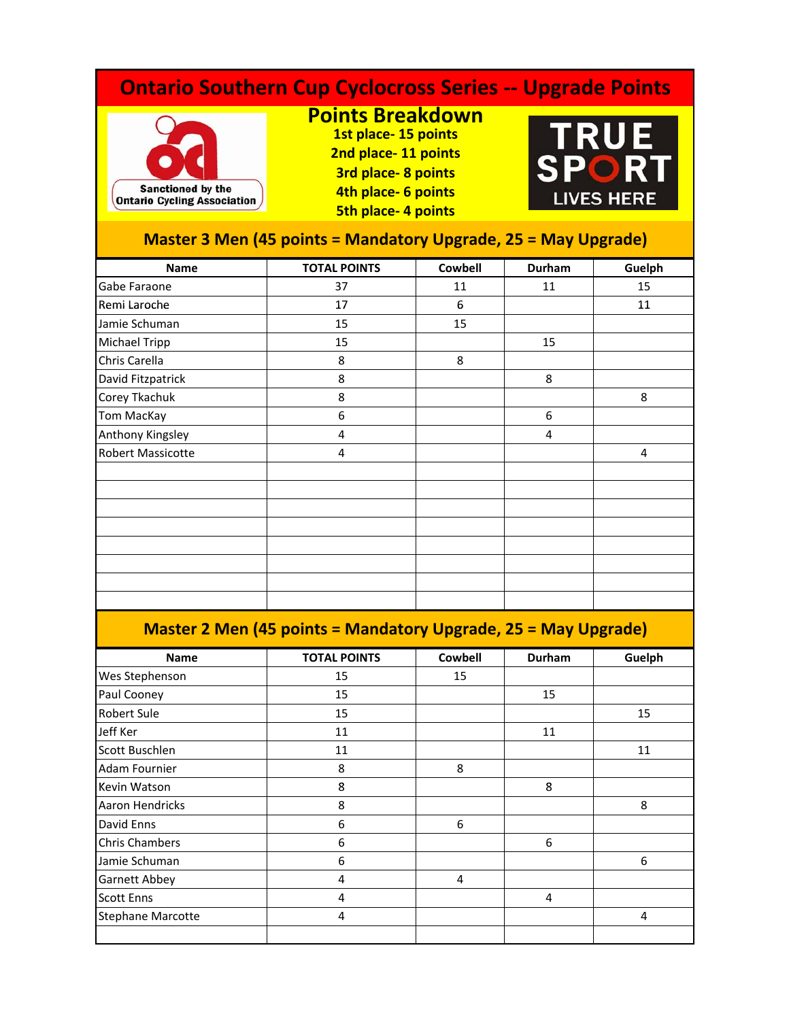## **Ontario Southern Cup Cyclocross Series ‐‐ Upgrade Points Points Breakdown**  $E$ **RU 1st place‐ 15 points 2nd place‐ 11 points SPO 3rd place‐ 8 points** Sanctioned by the **4th l 6 i t place‐ points LIVES HERE Ontario Cycling Association 5th place‐ 4 points Master 3 Men (45 points = Mandatory Upgrade, 25 = May Upgrade) Name TOTAL POINTS Cowbell Durham Guelph** Gabe Faraone 37 11 11 15 Remi Laroche 17 17 16 11 11 11 Jamie Schuman 15 15 15 15 Michael Tripp 15 15 15 Chris Carella **8** 8 David Fitzpatrick 8 8 Corey Tkachuk 8 8 Tom MacKay 6 6 Anthony Kingsley 4 4 Robert Massicotte 4 4

## **Master 2 Men (45 points = Mandatory Upgrade, 25 = May Upgrade)**

| <b>Name</b>              | <b>TOTAL POINTS</b> | <b>Cowbell</b> | Durham | Guelph |
|--------------------------|---------------------|----------------|--------|--------|
| Wes Stephenson           | 15                  | 15             |        |        |
| Paul Cooney              | 15                  |                | 15     |        |
| <b>Robert Sule</b>       | 15                  |                |        | 15     |
| Jeff Ker                 | 11                  |                | 11     |        |
| Scott Buschlen           | 11                  |                |        | 11     |
| Adam Fournier            | 8                   | 8              |        |        |
| Kevin Watson             | 8                   |                | 8      |        |
| Aaron Hendricks          | 8                   |                |        | 8      |
| David Enns               | 6                   | 6              |        |        |
| Chris Chambers           | 6                   |                | 6      |        |
| Jamie Schuman            | 6                   |                |        | 6      |
| Garnett Abbey            | 4                   | 4              |        |        |
| <b>Scott Enns</b>        | 4                   |                | 4      |        |
| <b>Stephane Marcotte</b> | 4                   |                |        | 4      |
|                          |                     |                |        |        |